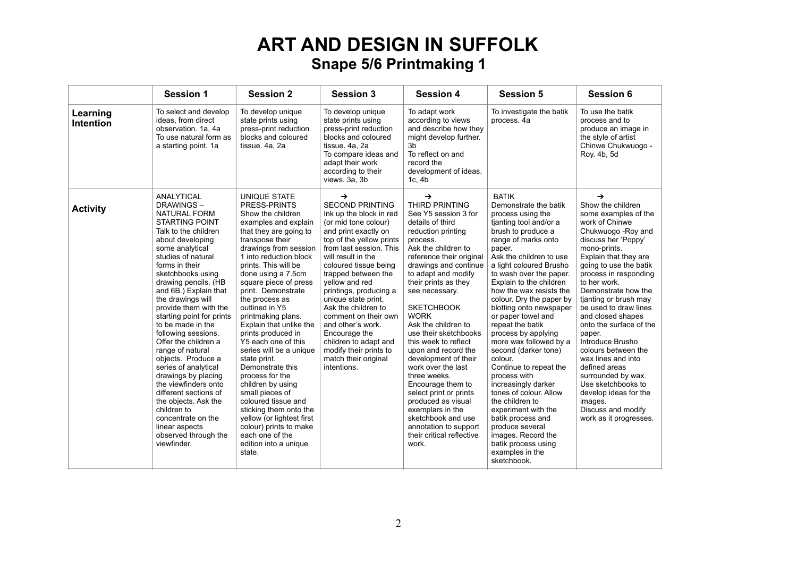|                              | <b>Session 1</b>                                                                                                                                                                                                                                                                                                                                                                                                                                                                                                                                                                                                                                                           | <b>Session 2</b>                                                                                                                                                                                                                                                                                                                                                                                                                                                                                                                                                                                                                                                                                 | <b>Session 3</b>                                                                                                                                                                                                                                                                                                                                                                                                                                                                                  | <b>Session 4</b>                                                                                                                                                                                                                                                                                                                                                                                                                                                                                                                                                                                                                     | <b>Session 5</b>                                                                                                                                                                                                                                                                                                                                                                                                                                                                                                                                                                                                                                                                                                                    | <b>Session 6</b>                                                                                                                                                                                                                                                                                                                                                                                                                                                                                                                                                                            |
|------------------------------|----------------------------------------------------------------------------------------------------------------------------------------------------------------------------------------------------------------------------------------------------------------------------------------------------------------------------------------------------------------------------------------------------------------------------------------------------------------------------------------------------------------------------------------------------------------------------------------------------------------------------------------------------------------------------|--------------------------------------------------------------------------------------------------------------------------------------------------------------------------------------------------------------------------------------------------------------------------------------------------------------------------------------------------------------------------------------------------------------------------------------------------------------------------------------------------------------------------------------------------------------------------------------------------------------------------------------------------------------------------------------------------|---------------------------------------------------------------------------------------------------------------------------------------------------------------------------------------------------------------------------------------------------------------------------------------------------------------------------------------------------------------------------------------------------------------------------------------------------------------------------------------------------|--------------------------------------------------------------------------------------------------------------------------------------------------------------------------------------------------------------------------------------------------------------------------------------------------------------------------------------------------------------------------------------------------------------------------------------------------------------------------------------------------------------------------------------------------------------------------------------------------------------------------------------|-------------------------------------------------------------------------------------------------------------------------------------------------------------------------------------------------------------------------------------------------------------------------------------------------------------------------------------------------------------------------------------------------------------------------------------------------------------------------------------------------------------------------------------------------------------------------------------------------------------------------------------------------------------------------------------------------------------------------------------|---------------------------------------------------------------------------------------------------------------------------------------------------------------------------------------------------------------------------------------------------------------------------------------------------------------------------------------------------------------------------------------------------------------------------------------------------------------------------------------------------------------------------------------------------------------------------------------------|
| Learning<br><b>Intention</b> | To select and develop<br>ideas, from direct<br>observation. 1a, 4a<br>To use natural form as<br>a starting point. 1a                                                                                                                                                                                                                                                                                                                                                                                                                                                                                                                                                       | To develop unique<br>state prints using<br>press-print reduction<br>blocks and coloured<br>tissue. 4a, 2a                                                                                                                                                                                                                                                                                                                                                                                                                                                                                                                                                                                        | To develop unique<br>state prints using<br>press-print reduction<br>blocks and coloured<br>tissue. 4a, 2a<br>To compare ideas and<br>adapt their work<br>according to their<br>views. 3a, 3b                                                                                                                                                                                                                                                                                                      | To adapt work<br>according to views<br>and describe how they<br>might develop further.<br>3b<br>To reflect on and<br>record the<br>development of ideas.<br>1c, 4b                                                                                                                                                                                                                                                                                                                                                                                                                                                                   | To investigate the batik<br>process. 4a                                                                                                                                                                                                                                                                                                                                                                                                                                                                                                                                                                                                                                                                                             | To use the batik<br>process and to<br>produce an image in<br>the style of artist<br>Chinwe Chukwuogo -<br>Roy. 4b, 5d                                                                                                                                                                                                                                                                                                                                                                                                                                                                       |
| <b>Activity</b>              | <b>ANALYTICAL</b><br><b>DRAWINGS-</b><br>NATURAL FORM<br><b>STARTING POINT</b><br>Talk to the children<br>about developing<br>some analytical<br>studies of natural<br>forms in their<br>sketchbooks using<br>drawing pencils. (HB<br>and 6B.) Explain that<br>the drawings will<br>provide them with the<br>starting point for prints<br>to be made in the<br>following sessions.<br>Offer the children a<br>range of natural<br>objects. Produce a<br>series of analytical<br>drawings by placing<br>the viewfinders onto<br>different sections of<br>the objects. Ask the<br>children to<br>concentrate on the<br>linear aspects<br>observed through the<br>viewfinder. | UNIQUE STATE<br>PRESS-PRINTS<br>Show the children<br>examples and explain<br>that they are going to<br>transpose their<br>drawings from session<br>1 into reduction block<br>prints. This will be<br>done using a 7.5cm<br>square piece of press<br>print. Demonstrate<br>the process as<br>outlined in Y5<br>printmaking plans.<br>Explain that unlike the<br>prints produced in<br>Y5 each one of this<br>series will be a unique<br>state print.<br>Demonstrate this<br>process for the<br>children by using<br>small pieces of<br>coloured tissue and<br>sticking them onto the<br>yellow (or lightest first<br>colour) prints to make<br>each one of the<br>edition into a unique<br>state. | $\rightarrow$<br><b>SECOND PRINTING</b><br>Ink up the block in red<br>(or mid tone colour)<br>and print exactly on<br>top of the yellow prints<br>from last session. This<br>will result in the<br>coloured tissue being<br>trapped between the<br>yellow and red<br>printings, producing a<br>unique state print.<br>Ask the children to<br>comment on their own<br>and other's work.<br>Encourage the<br>children to adapt and<br>modify their prints to<br>match their original<br>intentions. | →<br><b>THIRD PRINTING</b><br>See Y5 session 3 for<br>details of third<br>reduction printing<br>process.<br>Ask the children to<br>reference their original<br>drawings and continue<br>to adapt and modify<br>their prints as they<br>see necessary.<br><b>SKETCHBOOK</b><br><b>WORK</b><br>Ask the children to<br>use their sketchbooks<br>this week to reflect<br>upon and record the<br>development of their<br>work over the last<br>three weeks.<br>Encourage them to<br>select print or prints<br>produced as visual<br>exemplars in the<br>sketchbook and use<br>annotation to support<br>their critical reflective<br>work. | <b>BATIK</b><br>Demonstrate the batik<br>process using the<br>tjanting tool and/or a<br>brush to produce a<br>range of marks onto<br>paper.<br>Ask the children to use<br>a light coloured Brusho<br>to wash over the paper.<br>Explain to the children<br>how the wax resists the<br>colour. Dry the paper by<br>blotting onto newspaper<br>or paper towel and<br>repeat the batik<br>process by applying<br>more wax followed by a<br>second (darker tone)<br>colour.<br>Continue to repeat the<br>process with<br>increasingly darker<br>tones of colour. Allow<br>the children to<br>experiment with the<br>batik process and<br>produce several<br>images. Record the<br>batik process using<br>examples in the<br>sketchbook. | $\rightarrow$<br>Show the children<br>some examples of the<br>work of Chinwe<br>Chukwuogo - Roy and<br>discuss her 'Poppy'<br>mono-prints.<br>Explain that they are<br>going to use the batik<br>process in responding<br>to her work.<br>Demonstrate how the<br>tjanting or brush may<br>be used to draw lines<br>and closed shapes<br>onto the surface of the<br>paper.<br>Introduce Brusho<br>colours between the<br>wax lines and into<br>defined areas<br>surrounded by wax.<br>Use sketchbooks to<br>develop ideas for the<br>images.<br>Discuss and modify<br>work as it progresses. |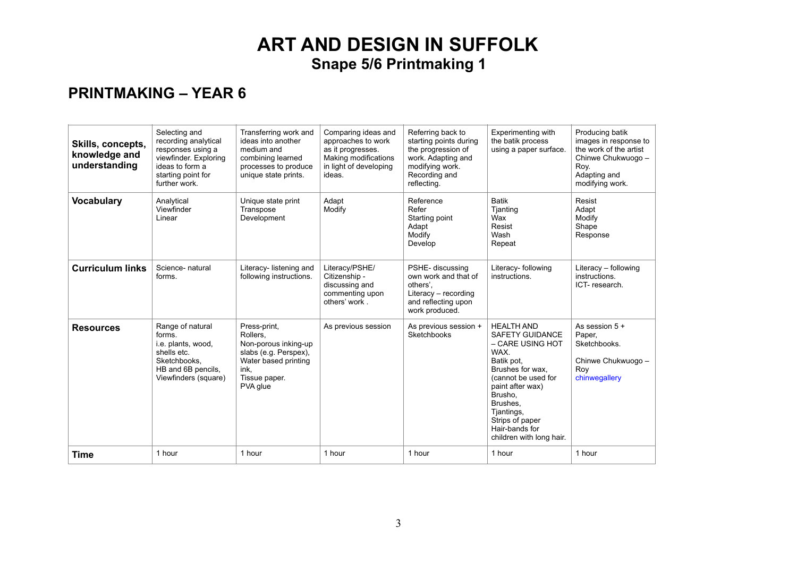| Skills, concepts,<br>knowledge and<br>understanding | Selecting and<br>recording analytical<br>responses using a<br>viewfinder. Exploring<br>ideas to form a<br>starting point for<br>further work. | Transferring work and<br>ideas into another<br>medium and<br>combining learned<br>processes to produce<br>unique state prints.         | Comparing ideas and<br>approaches to work<br>as it progresses.<br>Making modifications<br>in light of developing<br>ideas. | Referring back to<br>starting points during<br>the progression of<br>work. Adapting and<br>modifying work.<br>Recording and<br>reflecting. | Experimenting with<br>the batik process<br>using a paper surface.                                                                                                                                                                                          | Producing batik<br>images in response to<br>the work of the artist<br>Chinwe Chukwuogo -<br>Roy.<br>Adapting and<br>modifying work. |
|-----------------------------------------------------|-----------------------------------------------------------------------------------------------------------------------------------------------|----------------------------------------------------------------------------------------------------------------------------------------|----------------------------------------------------------------------------------------------------------------------------|--------------------------------------------------------------------------------------------------------------------------------------------|------------------------------------------------------------------------------------------------------------------------------------------------------------------------------------------------------------------------------------------------------------|-------------------------------------------------------------------------------------------------------------------------------------|
| <b>Vocabulary</b>                                   | Analytical<br>Viewfinder<br>Linear                                                                                                            | Unique state print<br>Transpose<br>Development                                                                                         | Adapt<br>Modify                                                                                                            | Reference<br>Refer<br>Starting point<br>Adapt<br>Modify<br>Develop                                                                         | <b>Batik</b><br>Tjanting<br>Wax<br>Resist<br>Wash<br>Repeat                                                                                                                                                                                                | Resist<br>Adapt<br>Modify<br>Shape<br>Response                                                                                      |
| <b>Curriculum links</b>                             | Science- natural<br>forms.                                                                                                                    | Literacy-listening and<br>following instructions.                                                                                      | Literacy/PSHE/<br>Citizenship -<br>discussing and<br>commenting upon<br>others' work.                                      | PSHE- discussing<br>own work and that of<br>others'.<br>Literacy - recording<br>and reflecting upon<br>work produced.                      | Literacy- following<br>instructions.                                                                                                                                                                                                                       | Literacy - following<br>instructions.<br>ICT-research.                                                                              |
| <b>Resources</b>                                    | Range of natural<br>forms.<br>i.e. plants, wood,<br>shells etc.<br>Sketchbooks.<br>HB and 6B pencils,<br>Viewfinders (square)                 | Press-print,<br>Rollers.<br>Non-porous inking-up<br>slabs (e.g. Perspex),<br>Water based printing<br>ink,<br>Tissue paper.<br>PVA glue | As previous session                                                                                                        | As previous session +<br>Sketchbooks                                                                                                       | <b>HEALTH AND</b><br><b>SAFETY GUIDANCE</b><br>– CARE USING HOT<br>WAX.<br>Batik pot.<br>Brushes for wax.<br>(cannot be used for<br>paint after wax)<br>Brusho.<br>Brushes.<br>Tiantings,<br>Strips of paper<br>Hair-bands for<br>children with long hair. | As session 5 +<br>Paper,<br>Sketchbooks.<br>Chinwe Chukwuogo -<br>Roy<br>chinwegallery                                              |
| Time                                                | 1 hour                                                                                                                                        | 1 hour                                                                                                                                 | 1 hour                                                                                                                     | 1 hour                                                                                                                                     | 1 hour                                                                                                                                                                                                                                                     | 1 hour                                                                                                                              |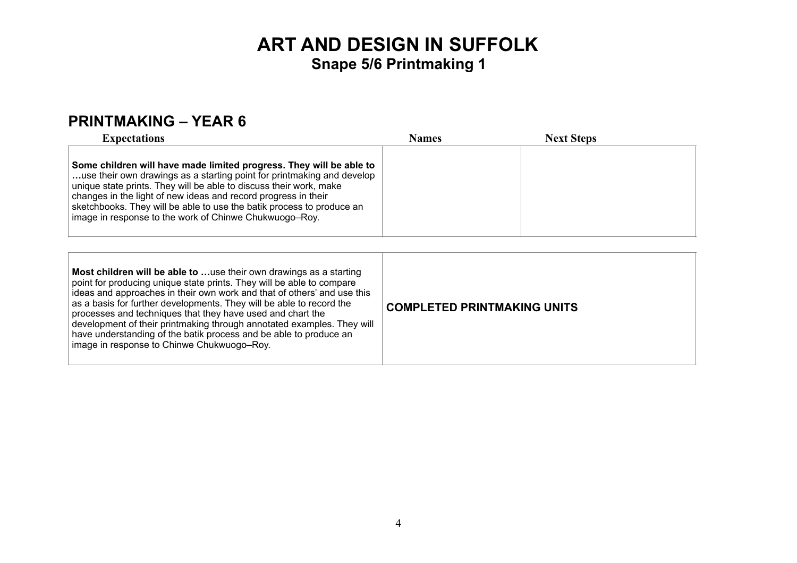| <b>Expectations</b>                                                                                                                                                                                                                                                                                                                                                                                                      | <b>Names</b> | <b>Next Steps</b> |
|--------------------------------------------------------------------------------------------------------------------------------------------------------------------------------------------------------------------------------------------------------------------------------------------------------------------------------------------------------------------------------------------------------------------------|--------------|-------------------|
| Some children will have made limited progress. They will be able to<br>use their own drawings as a starting point for printmaking and develop<br>unique state prints. They will be able to discuss their work, make<br>changes in the light of new ideas and record progress in their<br>sketchbooks. They will be able to use the batik process to produce an<br>image in response to the work of Chinwe Chukwuogo–Roy. |              |                   |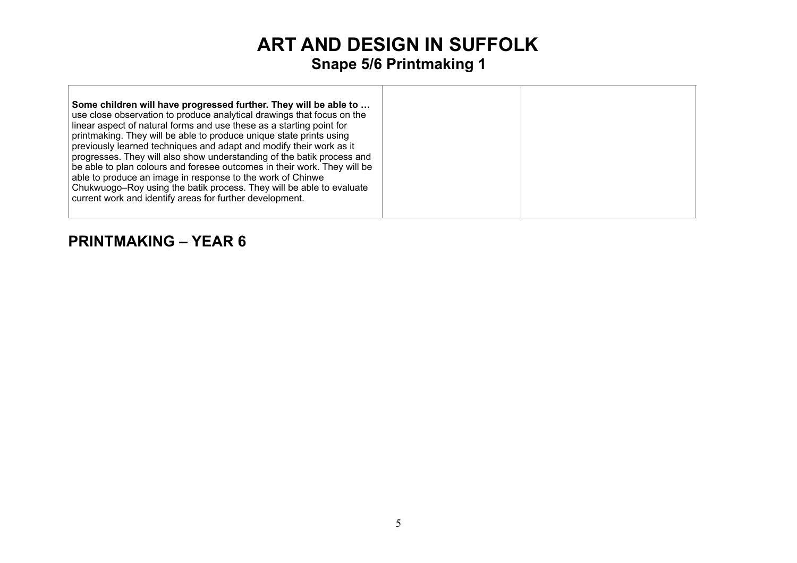**Some children will have progressed further. They will be able to …** use close observation to produce analytical drawings that focus on the linear aspect of natural forms and use these as a starting point for printmaking. They will be able to produce unique state prints using previously learned techniques and adapt and modify their work as it progresses. They will also show understanding of the batik process and be able to plan colours and foresee outcomes in their work. They will be able to produce an image in response to the work of Chinwe Chukwuogo–Roy using the batik process. They will be able to evaluate current work and identify areas for further development.